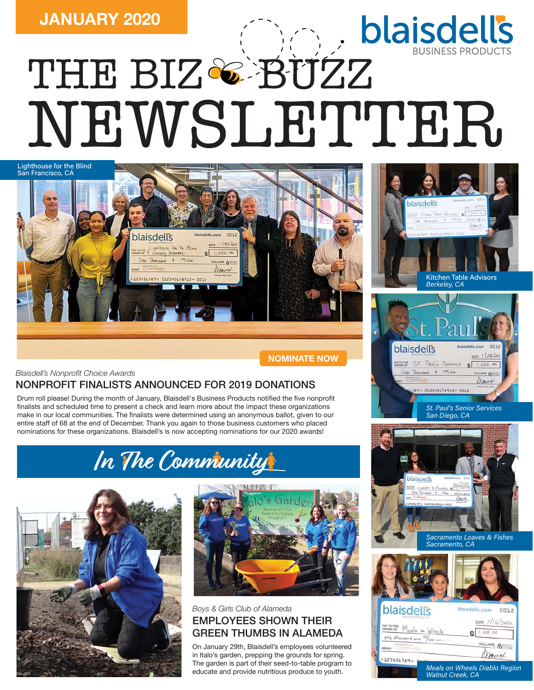# THE BI[Z](https://blaisdells.com)<sup>&</sup> BUZZ



**[NOMINATE NOW](https://blaisdells.com/about/givingback/nonprofit-nomination/)**

*Blaisdell's Nonprofit Choice Awards*

# NONPROFIT FINALISTS ANNOUNCED FOR 2019 DONATIONS

Drum roll please! During the month of January, Blaisdell's Business Products notified the five nonprofit finalists and scheduled time to present a check and learn more about the impact these organizations make in our local communities. The finalists were determined using an anonymous ballot, given to our entire staff of 68 at the end of December. Thank you again to those business customers who placed nominations for these organizations. Blaisdell's is now accepting nominations for our 2020 awards!







## EMPLOYEES SHOWN THEIR GREEN THUMBS IN ALAMEDA *Boys & Girls Club of Alameda*

On January 29th, Blaisdell's employees volunteered in Italo's garden, prepping the grounds for spring. The garden is part of their seed-to-table program to educate and provide nutritious produce to youth.